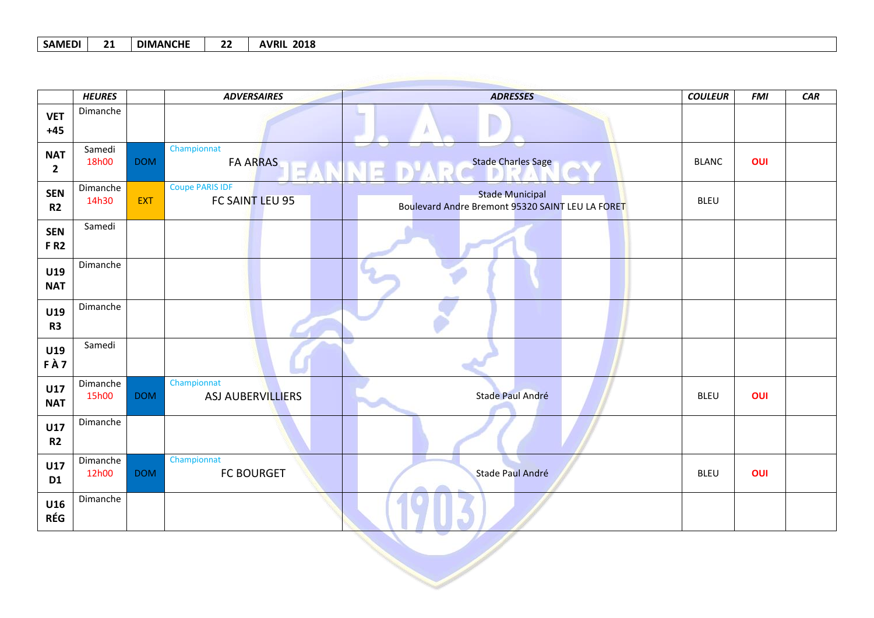## **SAMEDI 21 DIMANCHE 22 AVRIL 2018**

|                              | <b>HEURES</b>     |            | <b>ADVERSAIRES</b>                        | <b>ADRESSES</b>                                                            | <b>COULEUR</b> | <b>FMI</b> | CAR |
|------------------------------|-------------------|------------|-------------------------------------------|----------------------------------------------------------------------------|----------------|------------|-----|
| <b>VET</b><br>$+45$          | Dimanche          |            |                                           |                                                                            |                |            |     |
| <b>NAT</b><br>$\overline{2}$ | Samedi<br>18h00   | <b>DOM</b> | Championnat<br><b>FA ARRAS</b>            | <b>Stade Charles Sage</b><br>EANNE D'A                                     | <b>BLANC</b>   | OUI        |     |
| <b>SEN</b><br>R <sub>2</sub> | Dimanche<br>14h30 | <b>EXT</b> | <b>Coupe PARIS IDF</b><br>FC SAINT LEU 95 | <b>Stade Municipal</b><br>Boulevard Andre Bremont 95320 SAINT LEU LA FORET | <b>BLEU</b>    |            |     |
| <b>SEN</b><br><b>FR2</b>     | Samedi            |            |                                           |                                                                            |                |            |     |
| U19<br><b>NAT</b>            | Dimanche          |            |                                           |                                                                            |                |            |     |
| U19<br>R <sub>3</sub>        | Dimanche          |            |                                           |                                                                            |                |            |     |
| U19<br>FÀ7                   | Samedi            |            |                                           |                                                                            |                |            |     |
| <b>U17</b><br><b>NAT</b>     | Dimanche<br>15h00 | <b>DOM</b> | Championnat<br>ASJ AUBERVILLIERS          | Stade Paul André                                                           | <b>BLEU</b>    | OUI        |     |
| U17<br>R <sub>2</sub>        | Dimanche          |            |                                           |                                                                            |                |            |     |
| U17<br>D <sub>1</sub>        | Dimanche<br>12h00 | <b>DOM</b> | Championnat<br><b>FC BOURGET</b>          | Stade Paul André                                                           | <b>BLEU</b>    | OUI        |     |
| U16<br><b>RÉG</b>            | Dimanche          |            |                                           |                                                                            |                |            |     |
|                              |                   |            |                                           |                                                                            |                |            |     |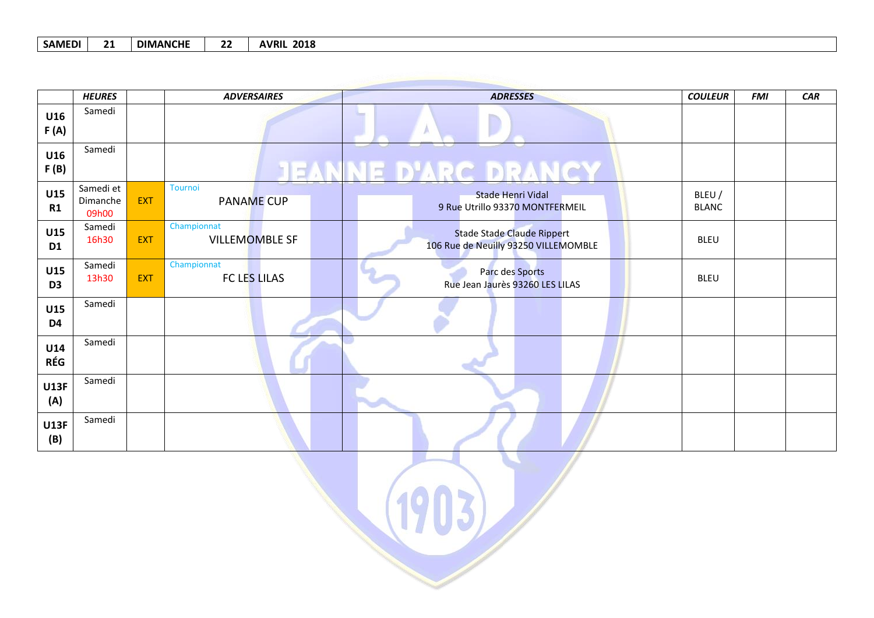## **SAMEDI 21 DIMANCHE 22 AVRIL 2018**

|                       | <b>HEURES</b>                  |            | <b>ADVERSAIRES</b>                  | <b>ADRESSES</b>                                                           | <b>COULEUR</b>         | <b>FMI</b> | CAR |
|-----------------------|--------------------------------|------------|-------------------------------------|---------------------------------------------------------------------------|------------------------|------------|-----|
| U16<br>F(A)           | Samedi                         |            |                                     |                                                                           |                        |            |     |
| U16<br>F(B)           | Samedi                         |            |                                     | <b>JEANNE D'ARC DRANCY</b>                                                |                        |            |     |
| U15<br>R1             | Samedi et<br>Dimanche<br>09h00 | <b>EXT</b> | <b>Tournoi</b><br><b>PANAME CUP</b> | <b>Stade Henri Vidal</b><br>9 Rue Utrillo 93370 MONTFERMEIL               | BLEU /<br><b>BLANC</b> |            |     |
| U15<br>D <sub>1</sub> | Samedi<br>16h30                | <b>EXT</b> | Championnat<br>VILLEMOMBLE SF       | <b>Stade Stade Claude Rippert</b><br>106 Rue de Neuilly 93250 VILLEMOMBLE | <b>BLEU</b>            |            |     |
| U15<br>D <sub>3</sub> | Samedi<br>13h30                | <b>EXT</b> | Championnat<br><b>FC LES LILAS</b>  | Parc des Sports<br>Rue Jean Jaurès 93260 LES LILAS                        | <b>BLEU</b>            |            |     |
| U15<br>D4             | Samedi                         |            |                                     |                                                                           |                        |            |     |
| <b>U14</b><br>RÉG     | Samedi                         |            |                                     |                                                                           |                        |            |     |
| <b>U13F</b><br>(A)    | Samedi                         |            |                                     |                                                                           |                        |            |     |
| <b>U13F</b><br>(B)    | Samedi                         |            |                                     |                                                                           |                        |            |     |

 $(1903)$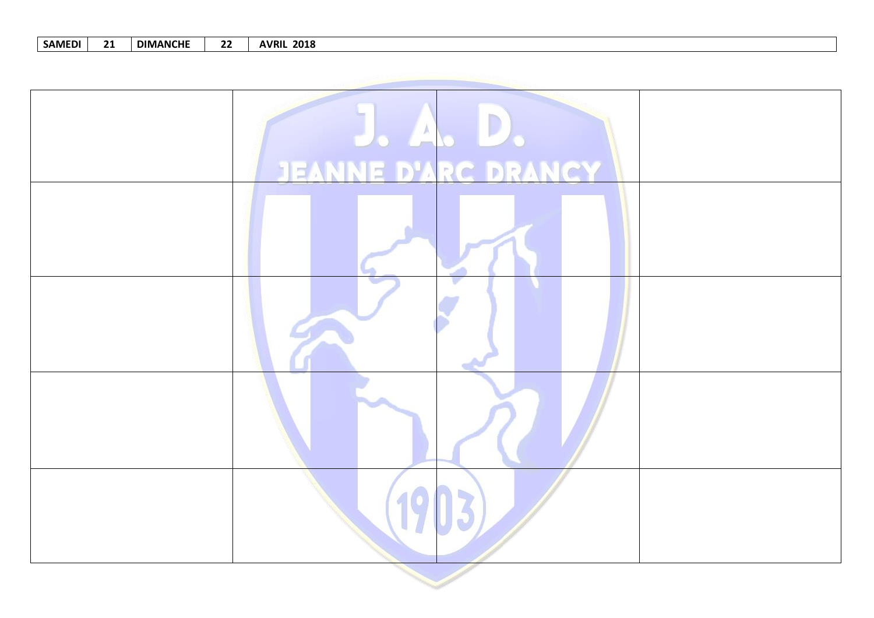| <b>SAMEDI</b> |  | <b>DIMANCHE</b> | 22 | <b>AVRIL 2018</b> |
|---------------|--|-----------------|----|-------------------|
|---------------|--|-----------------|----|-------------------|

| JEANNE D'ARC DRANCY |
|---------------------|
|                     |
|                     |
|                     |
| 19                  |